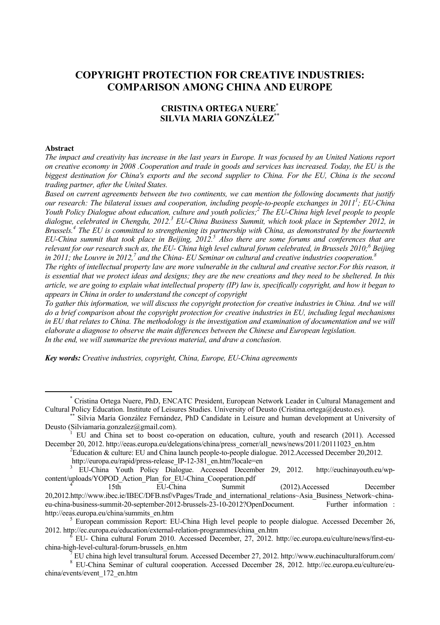# **COPYRIGHT PROTECTION FOR CREATIVE INDUSTRIES: COMPARISON AMONG CHINA AND EUROPE**

## **CRISTINA ORTEGA NUERE\* SILVIA MARIA GONZÁLEZ\*\***

#### **Abstract**

*The impact and creativity has increase in the last years in Europe. It was focused by an United Nations report on creative economy in 2008 .Cooperation and trade in goods and services has increased. Today, the EU is the biggest destination for China's exports and the second supplier to China. For the EU, China is the second trading partner, after the United States.* 

*Based on current agreements between the two continents, we can mention the following documents that justify our research: The bilateral issues and cooperation, including people-to-people exchanges in 20111 ; EU-China Youth Policy Dialogue about education, culture and youth policies;2 The EU-China high level people to people*  dialogue, celebrated in Chengdu, 2012.<sup>3</sup> EU-China Business Summit, which took place in September 2012, in *Brussels.4 The EU is committed to strengthening its partnership with China, as demonstrated by the fourteenth EU-China summit that took place in Beijing, 2012.5 Also there are some forums and conferences that are*  relevant for our research such as, the EU- China high level cultural forum celebrated, in Brussels 2010;<sup>6</sup> Beijing in 2011; the Louvre in 2012,<sup>7</sup> and the China- EU Seminar on cultural and creative industries cooperation.<sup>8</sup>

The rights of intellectual property law are more vulnerable in the cultural and creative sector. For this reason, it *is essential that we protect ideas and designs; they are the new creations and they need to be sheltered. In this article, we are going to explain what intellectual property (IP) law is, specifically copyright, and how it began to appears in China in order to understand the concept of copyright* 

*To gather this information, we will discuss the copyright protection for creative industries in China. And we will do a brief comparison about the copyright protection for creative industries in EU, including legal mechanisms in EU that relates to China. The methodology is the investigation and examination of documentation and we will elaborate a diagnose to observe the main differences between the Chinese and European legislation.*  In the end, we will summarize the previous material, and draw a conclusion.

*Key words: Creative industries, copyright, China, Europe, EU-China agreements*

 <sup>\*</sup> Cristina Ortega Nuere, PhD, ENCATC President, European Network Leader in Cultural Management and Cultural Policy Education. Institute of Leisures Studies. University of Deusto (Cristina.ortega@deusto.es). \*\* Silvia María González Fernández, PhD Candidate in Leisure and human development at University of

Deusto (Silviamaria.gonzalez@gmail.com).

EU and China set to boost co-operation on education, culture, youth and research (2011). Accessed December 20, 2012. http://eeas.europa.eu/delegations/china/press\_corner/all\_news/news/2011/20111023\_en.htm

 $E^2$ Education & culture: EU and China launch people-to-people dialogue. 2012.Accessed December 20,2012.

http://europa.eu/rapid/press-release IP-12-381 en.htm?locale=en

<sup>3</sup> EU-China Youth Policy Dialogue. Accessed December 29, 2012. http://euchinayouth.eu/wpcontent/uploads/YOPOD\_Action\_Plan\_for\_EU-China\_Cooperation.pdf 4

<sup>(2012).</sup>Accessed December 20,2012.http://www.ibec.ie/IBEC/DFB.nsf/vPages/Trade\_and\_international\_relations~Asia\_Business\_Network~chinaeu-china-business-summit-20-september-2012-brussels-23-10-2012?OpenDocument. Further information : http://eeas.europa.eu/china/summits\_en.htm 5

<sup>&</sup>lt;sup>5</sup> European commission Report: EU-China High level people to people dialogue. Accessed December 26, 2012. http://ec.europa.eu/education/external-relation-programmes/china\_en.htm 6

EU- China cultural Forum 2010. Accessed December, 27, 2012. http://ec.europa.eu/culture/news/first-euchina-high-level-cultural-forum-brussels\_en.htm 7

EU china high level transultural forum. Accessed December 27, 2012. http://www.euchinaculturalforum.com/ 8

EU-China Seminar of cultural cooperation. Accessed December 28, 2012. http://ec.europa.eu/culture/euchina/events/event\_172\_en.htm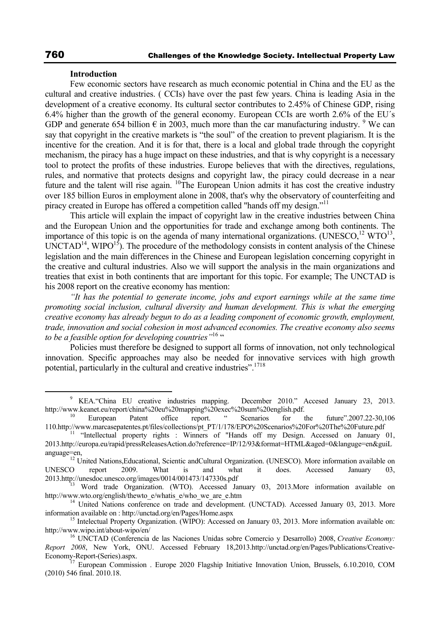### **Introduction**

Few economic sectors have research as much economic potential in China and the EU as the cultural and creative industries. ( CCIs) have over the past few years. China is leading Asia in the development of a creative economy. Its cultural sector contributes to 2.45% of Chinese GDP, rising 6.4% higher than the growth of the general economy. European CCIs are worth 2.6% of the EU´s GDP and generate 654 billion  $\epsilon$  in 2003, much more than the car manufacturing industry. <sup>9</sup> We can say that copyright in the creative markets is "the soul" of the creation to prevent plagiarism. It is the incentive for the creation. And it is for that, there is a local and global trade through the copyright mechanism, the piracy has a huge impact on these industries, and that is why copyright is a necessary tool to protect the profits of these industries. Europe believes that with the directives, regulations, rules, and normative that protects designs and copyright law, the piracy could decrease in a near future and the talent will rise again. <sup>10</sup>The European Union admits it has cost the creative industry over 185 billion Euros in employment alone in 2008, that's why the observatory of counterfeiting and piracy created in Europe has offered a competition called "hands off my design."11

This article will explain the impact of copyright law in the creative industries between China and the European Union and the opportunities for trade and exchange among both continents. The importance of this topic is on the agenda of many international organizations. (UNESCO,<sup>12</sup> WTO<sup>13</sup>,  $\text{UNCTAD}^{14}$ ,  $\text{WIFO}^{15}$ ). The procedure of the methodology consists in content analysis of the Chinese legislation and the main differences in the Chinese and European legislation concerning copyright in the creative and cultural industries. Also we will support the analysis in the main organizations and treaties that exist in both continents that are important for this topic. For example; The UNCTAD is his 2008 report on the creative economy has mention:

*"It has the potential to generate income, jobs and export earnings while at the same time promoting social inclusion, cultural diversity and human development. This is what the emerging creative economy has already begun to do as a leading component of economic growth, employment, trade, innovation and social cohesion in most advanced economies. The creative economy also seems to be a feasible option for developing countries"*16 "

Policies must therefore be designed to support all forms of innovation, not only technological innovation. Specific approaches may also be needed for innovative services with high growth potential, particularly in the cultural and creative industries".<sup>1718</sup>

 $\frac{1}{\sqrt{9}}$  KEA."China EU creative industries mapping. December 2010." Accesed January 23, 2013. http://www.keanet.eu/report/china%20eu%20mapping%20exec%20sum%20english.pdf.<br><sup>10</sup> European Patent office report. "Scenarios for the future".2007.22-30,106

<sup>110.</sup>http://www.marcasepatentes.pt/files/collections/pt\_PT/1/178/EPO%20Scenarios%20For%20The%20Future.pdf 11 "Intellectual property rights : Winners of "Hands off my Design. Accessed on January 01,

<sup>2013.</sup>http://europa.eu/rapid/pressReleasesAction.do?reference=IP/12/93&format=HTML&aged=0&languge=en&guiL anguage=en, 12 United Nations,Educational, Scientic andCultural Organization. (UNESCO). More information available on

UNESCO report 2009. What is and what it does. Accessed January 03,

<sup>2013.</sup>http://unesdoc.unesco.org/images/0014/001473/147330s.pdf<br>
<sup>13</sup> Word trade Organization. (WTO). Accessed January 03, 2013.More information available on<br>
http://www.wto.org/english/thewto e/whatis e/who we are e.htm

<sup>&</sup>lt;sup>14</sup> United Nations conference on trade and development. (UNCTAD). Accessed January 03, 2013. More information available on : http://unctad.org/en/Pages/Home.aspx

 $15$  Intelectual Property Organization. (WIPO): Accessed on January 03, 2013. More information available on: http://www.wipo.int/about-wipo/en/ 16 UNCTAD (Conferencia de las Naciones Unidas sobre Comercio y Desarrollo) 2008, *Creative Economy:* 

*Report 2008*, New York, ONU. Accessed February 18,2013.http://unctad.org/en/Pages/Publications/Creative-Economy-Report-(Series).aspx. 17 European Commission . Europe 2020 Flagship Initiative Innovation Union, Brussels, 6.10.2010, COM

<sup>(2010) 546</sup> final. 2010.18.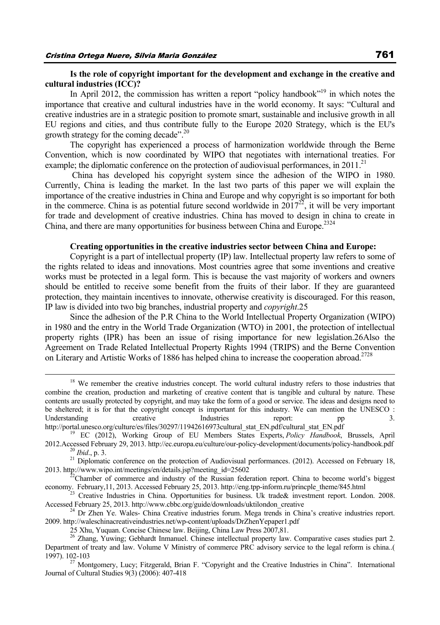### **Is the role of copyright important for the development and exchange in the creative and cultural industries (ICC)?**

In April 2012, the commission has written a report "policy handbook"<sup>19</sup> in which notes the importance that creative and cultural industries have in the world economy. It says: "Cultural and creative industries are in a strategic position to promote smart, sustainable and inclusive growth in all EU regions and cities, and thus contribute fully to the Europe 2020 Strategy, which is the EU's growth strategy for the coming decade".20

The copyright has experienced a process of harmonization worldwide through the Berne Convention, which is now coordinated by WIPO that negotiates with international treaties. For example; the diplomatic conference on the protection of audiovisual performances, in  $2011$ <sup>21</sup>

 China has developed his copyright system since the adhesion of the WIPO in 1980. Currently, China is leading the market. In the last two parts of this paper we will explain the importance of the creative industries in China and Europe and why copyright is so important for both in the commerce. China is as potential future second worldwide in  $2017^{22}$ , it will be very important for trade and development of creative industries. China has moved to design in china to create in China, and there are many opportunities for business between China and Europe.<sup>2324</sup>

#### **Creating opportunities in the creative industries sector between China and Europe:**

Copyright is a part of intellectual property (IP) law. Intellectual property law refers to some of the rights related to ideas and innovations. Most countries agree that some inventions and creative works must be protected in a legal form. This is because the vast majority of workers and owners should be entitled to receive some benefit from the fruits of their labor. If they are guaranteed protection, they maintain incentives to innovate, otherwise creativity is discouraged. For this reason, IP law is divided into two big branches, industrial property and *copyright*.25

Since the adhesion of the P.R China to the World Intellectual Property Organization (WIPO) in 1980 and the entry in the World Trade Organization (WTO) in 2001, the protection of intellectual property rights (IPR) has been an issue of rising importance for new legislation.26Also the Agreement on Trade Related Intellectual Property Rights 1994 (TRIPS) and the Berne Convention on Literary and Artistic Works of 1886 has helped china to increase the cooperation abroad.<sup>2728</sup>

<sup>&</sup>lt;sup>18</sup> We remember the creative industries concept. The world cultural industry refers to those industries that combine the creation, production and marketing of creative content that is tangible and cultural by nature. These contents are usually protected by copyright, and may take the form of a good or service. The ideas and designs need to be sheltered; it is for that the copyright concept is important for this industry. We can mention the UNESCO : Understanding creative Industries report: pp 3.

http://portal.unesco.org/culture/es/files/30297/11942616973cultural\_stat\_EN.pdf/cultural\_stat\_EN.pdf<br><sup>19</sup> EC (2012), Working Group of EU Members States Experts, *Policy Handbook*, Brussels, April<br>2012.Accessed February 29,

<sup>&</sup>lt;sup>20</sup> Ibid., p. 3.<br><sup>21</sup> Diplomatic conference on the protection of Audiovisual performances. (2012). Accessed on February 18, 2013. http://www.wipo.int/meetings/en/details.jsp?meeting id=25602

 $^{22}$ Chamber of commerce and industry of the Russian federation report. China to become world's biggest economy. February,11, 2013. Accessed February 25, 2013. http://eng.tpp-inform.ru/princple\_theme/845.html <sup>23</sup> Creative Industries in China. Opportunities for business. Uk trade& investment report. London. 2008.

Accessed February 25, 2013. http://www.cbbc.org/guide/downloads/uktilondon\_creative 24 Dr Zhen Ye. Wales- China Creative industries forum. Mega trends in China's creative industries report.

<sup>2009.</sup> http://waleschinacreativeindustries.net/wp-content/uploads/DrZhenYepaper1.pdf

<sup>25</sup> Xhu, Yuquan. Concise Chinese law. Beijing, China Law Press 2007,81.<br><sup>26</sup> Zhang, Yuwing; Gebhardt Inmanuel. Chinese intellectual property law. Comparative cases studies part 2. Department of treaty and law. Volume V Ministry of commerce PRC advisory service to the legal reform is china..( 1997). 102-103<br> $^{27}$  Montgomery, Lucy; Fitzgerald, Brian F. "Copyright and the Creative Industries in China". International

Journal of Cultural Studies 9(3) (2006): 407-418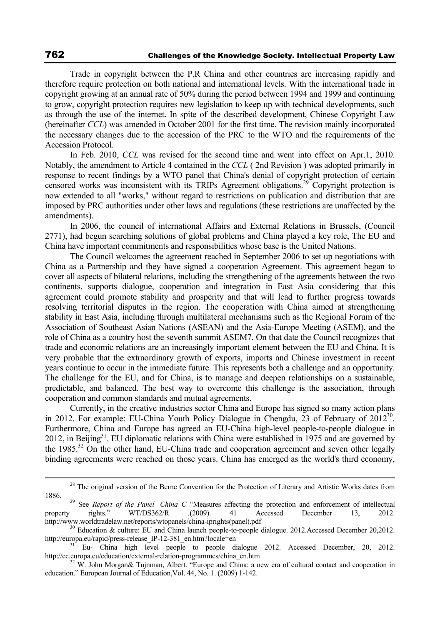Trade in copyright between the P.R China and other countries are increasing rapidly and therefore require protection on both national and international levels. With the international trade in copyright growing at an annual rate of 50% during the period between 1994 and 1999 and continuing to grow, copyright protection requires new legislation to keep up with technical developments, such as through the use of the internet. In spite of the described development, Chinese Copyright Law (hereinafter *CCL*) was amended in October 2001 for the first time. The revision mainly incorporated the necessary changes due to the accession of the PRC to the WTO and the requirements of the Accession Protocol.

In Feb. 2010, *CCL* was revised for the second time and went into effect on Apr.1, 2010. Notably, the amendment to Article 4 contained in the *CCL* ( 2nd Revision ) was adopted primarily in response to recent findings by a WTO panel that China's denial of copyright protection of certain censored works was inconsistent with its TRIPs Agreement obligations.29 Copyright protection is now extended to all "works," without regard to restrictions on publication and distribution that are imposed by PRC authorities under other laws and regulations (these restrictions are unaffected by the amendments).

In 2006, the council of international Affairs and External Relations in Brussels, (Council 2771), had begun searching solutions of global problems and China played a key role, The EU and China have important commitments and responsibilities whose base is the United Nations.

The Council welcomes the agreement reached in September 2006 to set up negotiations with China as a Partnership and they have signed a cooperation Agreement. This agreement began to cover all aspects of bilateral relations, including the strengthening of the agreements between the two continents, supports dialogue, cooperation and integration in East Asia considering that this agreement could promote stability and prosperity and that will lead to further progress towards resolving territorial disputes in the region. The cooperation with China aimed at strengthening stability in East Asia, including through multilateral mechanisms such as the Regional Forum of the Association of Southeast Asian Nations (ASEAN) and the Asia-Europe Meeting (ASEM), and the role of China as a country host the seventh summit ASEM7. On that date the Council recognizes that trade and economic relations are an increasingly important element between the EU and China. It is very probable that the extraordinary growth of exports, imports and Chinese investment in recent years continue to occur in the immediate future. This represents both a challenge and an opportunity. The challenge for the EU, and for China, is to manage and deepen relationships on a sustainable, predictable, and balanced. The best way to overcome this challenge is the association, through cooperation and common standards and mutual agreements.

Currently, in the creative industries sector China and Europe has signed so many action plans in 2012. For example: EU-China Youth Policy Dialogue in Chengdu, 23 of February of 2012<sup>30</sup>. Furthermore, China and Europe has agreed an EU-China high-level people-to-people dialogue in 2012, in Beijing $3<sup>1</sup>$ . EU diplomatic relations with China were established in 1975 and are governed by the 1985.<sup>32</sup> On the other hand, EU-China trade and cooperation agreement and seven other legally binding agreements were reached on those years. China has emerged as the world's third economy,

<sup>&</sup>lt;sup>28</sup> The original version of the Berne Convention for the Protection of Literary and Artistic Works dates from

<sup>1886.&</sup>lt;br><sup>29</sup> See *Report of the Panel China C* "Measures affecting the protection and enforcement of intellectual<br>13. 2012. 1 Accessed December 13. 2012. property rights." WT/DS362/R *.*(2009). 41 Accessed December 13, 2012.

http://www.worldtradelaw.net/reports/wtopanels/china-iprights(panel).pdf<br>
<sup>30</sup> Education & culture: EU and China launch people-to-people dialogue. 2012.Accessed December 20,2012.<br>
http://europa.eu/rapid/press-release IP-12

Eu- China high level people to people dialogue 2012. Accessed December, 20, 2012. http://ec.europa.eu/education/external-relation-programmes/china\_en.htm <sup>32</sup> W. John Morgan& Tujnman, Albert. "Europe and China: a new era of cultural contact and cooperation in

education." European Journal of Education,Vol. 44, No. 1. (2009) 1-142.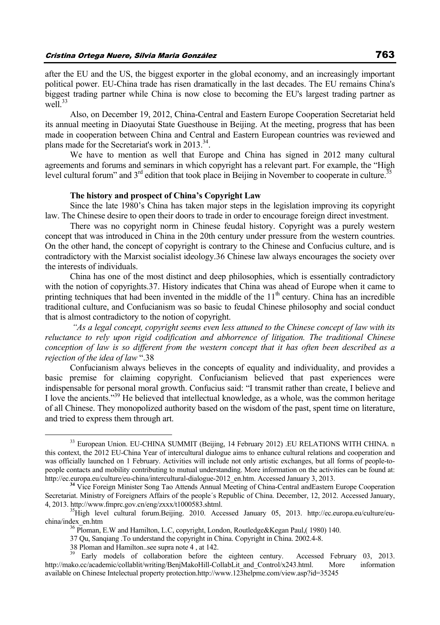after the EU and the US, the biggest exporter in the global economy, and an increasingly important political power. EU-China trade has risen dramatically in the last decades. The EU remains China's biggest trading partner while China is now close to becoming the EU's largest trading partner as well $^{33}$ 

Also, on December 19, 2012, China-Central and Eastern Europe Cooperation Secretariat held its annual meeting in Diaoyutai State Guesthouse in Beijing. At the meeting, progress that has been made in cooperation between China and Central and Eastern European countries was reviewed and plans made for the Secretariat's work in  $2013^{34}$ .

We have to mention as well that Europe and China has signed in 2012 many cultural agreements and forums and seminars in which copyright has a relevant part. For example, the "High level cultural forum" and  $3<sup>rd</sup>$  edition that took place in Beijing in November to cooperate in culture.<sup>35</sup>

### **The history and prospect of China's Copyright Law**

Since the late 1980's China has taken major steps in the legislation improving its copyright law. The Chinese desire to open their doors to trade in order to encourage foreign direct investment.

There was no copyright norm in Chinese feudal history. Copyright was a purely western concept that was introduced in China in the 20th century under pressure from the western countries. On the other hand, the concept of copyright is contrary to the Chinese and Confucius culture, and is contradictory with the Marxist socialist ideology.36 Chinese law always encourages the society over the interests of individuals.

China has one of the most distinct and deep philosophies, which is essentially contradictory with the notion of copyrights.37. History indicates that China was ahead of Europe when it came to printing techniques that had been invented in the middle of the  $11<sup>th</sup>$  century. China has an incredible traditional culture, and Confucianism was so basic to feudal Chinese philosophy and social conduct that is almost contradictory to the notion of copyright.

 *"As a legal concept, copyright seems even less attuned to the Chinese concept of law with its reluctance to rely upon rigid codification and abhorrence of litigation. The traditional Chinese conception of law is so different from the western concept that it has often been described as a rejection of the idea of law* ".38

Confucianism always believes in the concepts of equality and individuality, and provides a basic premise for claiming copyright. Confucianism believed that past experiences were indispensable for personal moral growth. Confucius said: "I transmit rather than create, I believe and I love the ancients."39 He believed that intellectual knowledge, as a whole, was the common heritage of all Chinese. They monopolized authority based on the wisdom of the past, spent time on literature, and tried to express them through art.

<sup>&</sup>lt;sup>33</sup> European Union. EU-CHINA SUMMIT (Beijing, 14 February 2012) .EU RELATIONS WITH CHINA. n this context, the 2012 EU-China Year of intercultural dialogue aims to enhance cultural relations and cooperation and was officially launched on 1 February. Activities will include not only artistic exchanges, but all forms of people-topeople contacts and mobility contributing to mutual understanding. More information on the activities can be found at:<br>http://ec.europa.eu/culture/eu-china/intercultural-dialogue-2012 en.htm. Accessed January 3, 2013.

<sup>&</sup>lt;sup>34</sup> Vice Foreign Minister Song Tao Attends Annual Meeting of China-Central andEastern Europe Cooperation Secretariat. Ministry of Foreigners Affairs of the people´s Republic of China. December, 12, 2012. Accessed January, 4, 2013. http://www.fmprc.gov.cn/eng/zxxx/t1000583.shtml. 35High level cultural forum.Beijing. 2010. Accessed January 05, 2013. http://ec.europa.eu/culture/eu-

china/index\_en.htm <sup>36</sup> Ploman, E.W and Hamilton, L.C, copyright, London, Routledge&Kegan Paul,( 1980) 140.

<sup>37</sup> Qu, Sanqiang .To understand the copyright in China. Copyright in China. 2002.4-8.

<sup>38</sup> Ploman and Hamilton..see supra note 4, at 142.<br><sup>39</sup> Early models of collaboration before the eighteen century. Accessed February 03, 2013. http://mako.cc/academic/collablit/writing/BenjMakoHill-CollabLit\_and\_Control/x243.html. More information available on Chinese Intelectual property protection.http://www.123helpme.com/view.asp?id=35245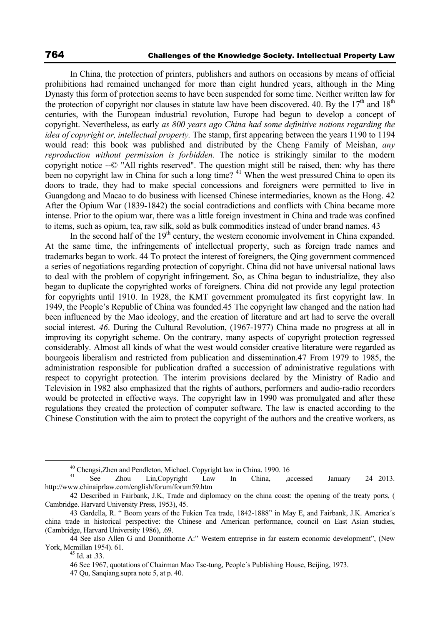In China, the protection of printers, publishers and authors on occasions by means of official prohibitions had remained unchanged for more than eight hundred years, although in the Ming Dynasty this form of protection seems to have been suspended for some time. Neither written law for the protection of copyright nor clauses in statute law have been discovered. 40. By the  $17<sup>th</sup>$  and  $18<sup>th</sup>$ centuries, with the European industrial revolution, Europe had begun to develop a concept of copyright. Nevertheless, as early *as 800 years ago China had some definitive notions regarding the idea of copyright or, intellectual property.* The stamp, first appearing between the years 1190 to 1194 would read: this book was published and distributed by the Cheng Family of Meishan, *any reproduction without permission is forbidden.* The notice is strikingly similar to the modern copyright notice --© "All rights reserved". The question might still be raised, then: why has there been no copyright law in China for such a long time? <sup>41</sup> When the west pressured China to open its doors to trade, they had to make special concessions and foreigners were permitted to live in Guangdong and Macao to do business with licensed Chinese intermediaries, known as the Hong. 42 After the Opium War (1839-1842) the social contradictions and conflicts with China became more intense. Prior to the opium war, there was a little foreign investment in China and trade was confined to items, such as opium, tea, raw silk, sold as bulk commodities instead of under brand names. 43

In the second half of the  $19<sup>th</sup>$  century, the western economic involvement in China expanded. At the same time, the infringements of intellectual property, such as foreign trade names and trademarks began to work. 44 To protect the interest of foreigners, the Qing government commenced a series of negotiations regarding protection of copyright. China did not have universal national laws to deal with the problem of copyright infringement. So, as China began to industrialize, they also began to duplicate the copyrighted works of foreigners. China did not provide any legal protection for copyrights until 1910. In 1928, the KMT government promulgated its first copyright law. In 1949, the People's Republic of China was founded.45 The copyright law changed and the nation had been influenced by the Mao ideology, and the creation of literature and art had to serve the overall social interest. *46*. During the Cultural Revolution, (1967-1977) China made no progress at all in improving its copyright scheme. On the contrary, many aspects of copyright protection regressed considerably. Almost all kinds of what the west would consider creative literature were regarded as bourgeois liberalism and restricted from publication and dissemination.47 From 1979 to 1985, the administration responsible for publication drafted a succession of administrative regulations with respect to copyright protection. The interim provisions declared by the Ministry of Radio and Television in 1982 also emphasized that the rights of authors, performers and audio-radio recorders would be protected in effective ways. The copyright law in 1990 was promulgated and after these regulations they created the protection of computer software. The law is enacted according to the Chinese Constitution with the aim to protect the copyright of the authors and the creative workers, as

<sup>&</sup>lt;sup>40</sup> Chengsi,Zhen and Pendleton, Michael. Copyright law in China. 1990. 16

See Zhou Lin,Copyright Law In China, accessed January 24 2013. http://www.chinaiprlaw.com/english/forum/forum59.htm

<sup>42</sup> Described in Fairbank, J.K, Trade and diplomacy on the china coast: the opening of the treaty ports, ( Cambridge. Harvard University Press, 1953), 45.

<sup>43</sup> Gardella, R. " Boom years of the Fukien Tea trade, 1842-1888" in May E, and Fairbank, J.K. America´s china trade in historical perspective: the Chinese and American performance, council on East Asian studies, (Cambridge, Harvard University 1986), .69.

<sup>44</sup> See also Allen G and Donnithorne A:" Western entreprise in far eastern economic development", (New York, Mcmillan 1954). 61.<br><sup>45</sup> Id. at .33.

<sup>46</sup> See 1967, quotations of Chairman Mao Tse-tung, People´s Publishing House, Beijing, 1973.

<sup>47</sup> Qu, Sanqiang.supra note 5, at p. 40.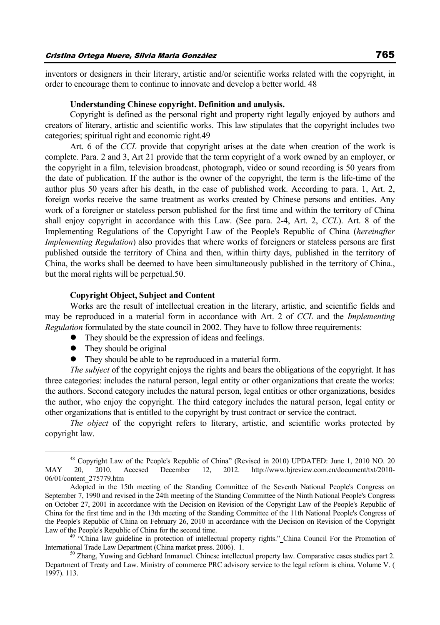inventors or designers in their literary, artistic and/or scientific works related with the copyright, in order to encourage them to continue to innovate and develop a better world. 48

#### **Understanding Chinese copyright. Definition and analysis.**

Copyright is defined as the personal right and property right legally enjoyed by authors and creators of literary, artistic and scientific works. This law stipulates that the copyright includes two categories; spiritual right and economic right.49

Art. 6 of the *CCL* provide that copyright arises at the date when creation of the work is complete. Para. 2 and 3, Art 21 provide that the term copyright of a work owned by an employer, or the copyright in a film, television broadcast, photograph, video or sound recording is 50 years from the date of publication. If the author is the owner of the copyright, the term is the life-time of the author plus 50 years after his death, in the case of published work. According to para. 1, Art. 2, foreign works receive the same treatment as works created by Chinese persons and entities. Any work of a foreigner or stateless person published for the first time and within the territory of China shall enjoy copyright in accordance with this Law. (See para. 2-4, Art. 2, *CCL*). Art. 8 of the Implementing Regulations of the Copyright Law of the People's Republic of China (*hereinafter Implementing Regulation*) also provides that where works of foreigners or stateless persons are first published outside the territory of China and then, within thirty days, published in the territory of China, the works shall be deemed to have been simultaneously published in the territory of China., but the moral rights will be perpetual.50.

### **Copyright Object, Subject and Content**

Works are the result of intellectual creation in the literary, artistic, and scientific fields and may be reproduced in a material form in accordance with Art. 2 of *CCL* and the *Implementing Regulation* formulated by the state council in 2002. They have to follow three requirements:

- $\bullet$  They should be the expression of ideas and feelings.
- $\bullet$  They should be original
- They should be able to be reproduced in a material form.

*The subject* of the copyright enjoys the rights and bears the obligations of the copyright. It has three categories: includes the natural person, legal entity or other organizations that create the works: the authors. Second category includes the natural person, legal entities or other organizations, besides the author, who enjoy the copyright. The third category includes the natural person, legal entity or other organizations that is entitled to the copyright by trust contract or service the contract.

*The object* of the copyright refers to literary, artistic, and scientific works protected by copyright law.

 <sup>48</sup> Copyright Law of the People's Republic of China" (Revised in 2010) UPDATED: June 1, 2010 NO. 20 MAY 20, 2010. Accesed December 12, 2012. http://www.bjreview.com.cn/document/txt/2010- 06/01/content\_275779.htm

Adopted in the 15th meeting of the Standing Committee of the Seventh National People's Congress on September 7, 1990 and revised in the 24th meeting of the Standing Committee of the Ninth National People's Congress on October 27, 2001 in accordance with the Decision on Revision of the Copyright Law of the People's Republic of China for the first time and in the 13th meeting of the Standing Committee of the 11th National People's Congress of the People's Republic of China on February 26, 2010 in accordance with the Decision on Revision of the Copyright Law of the People's Republic of China for the second time.<br><sup>49</sup> "China law guideline in protection of intellectual property rights." China Council For the Promotion of

International Trade Law Department (China market press. 2006). 1.<br><sup>50</sup> Zhang, Yuwing and Gebhard Inmanuel. Chinese intellectual property law. Comparative cases studies part 2.

Department of Treaty and Law. Ministry of commerce PRC advisory service to the legal reform is china. Volume V. ( 1997). 113.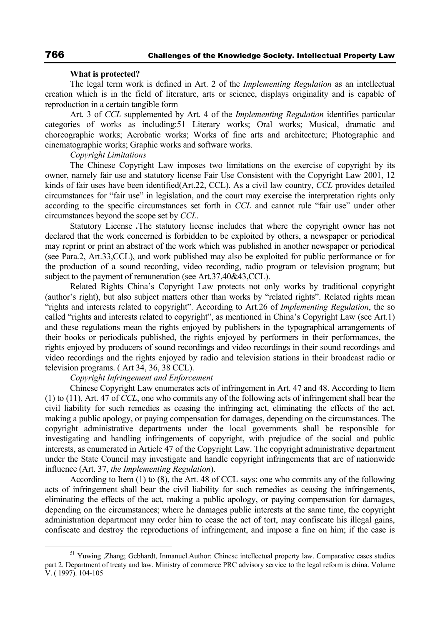#### **What is protected?**

The legal term work is defined in Art. 2 of the *Implementing Regulation* as an intellectual creation which is in the field of literature, arts or science, displays originality and is capable of reproduction in a certain tangible form

Art. 3 of *CCL* supplemented by Art. 4 of the *Implementing Regulation* identifies particular categories of works as including:51 Literary works; Oral works; Musical, dramatic and choreographic works; Acrobatic works; Works of fine arts and architecture; Photographic and cinematographic works; Graphic works and software works.

*Copyright Limitations* 

The Chinese Copyright Law imposes two limitations on the exercise of copyright by its owner, namely fair use and statutory license Fair Use Consistent with the Copyright Law 2001, 12 kinds of fair uses have been identified(Art.22, CCL). As a civil law country, *CCL* provides detailed circumstances for "fair use" in legislation, and the court may exercise the interpretation rights only according to the specific circumstances set forth in *CCL* and cannot rule "fair use" under other circumstances beyond the scope set by *CCL*.

Statutory License *.*The statutory license includes that where the copyright owner has not declared that the work concerned is forbidden to be exploited by others, a newspaper or periodical may reprint or print an abstract of the work which was published in another newspaper or periodical (see Para.2, Art.33,CCL), and work published may also be exploited for public performance or for the production of a sound recording, video recording, radio program or television program; but subject to the payment of remuneration (see Art.37,40&43,CCL).

Related Rights China's Copyright Law protects not only works by traditional copyright (author's right), but also subject matters other than works by "related rights". Related rights mean "rights and interests related to copyright". According to Art.26 of *Implementing Regulation*, the so called "rights and interests related to copyright", as mentioned in China's Copyright Law (see Art.1) and these regulations mean the rights enjoyed by publishers in the typographical arrangements of their books or periodicals published, the rights enjoyed by performers in their performances, the rights enjoyed by producers of sound recordings and video recordings in their sound recordings and video recordings and the rights enjoyed by radio and television stations in their broadcast radio or television programs. ( Art 34, 36, 38 CCL).

### *Copyright Infringement and Enforcement*

Chinese Copyright Law enumerates acts of infringement in Art. 47 and 48. According to Item (1) to (11), Art. 47 of *CCL*, one who commits any of the following acts of infringement shall bear the civil liability for such remedies as ceasing the infringing act, eliminating the effects of the act, making a public apology, or paying compensation for damages, depending on the circumstances. The copyright administrative departments under the local governments shall be responsible for investigating and handling infringements of copyright, with prejudice of the social and public interests, as enumerated in Article 47 of the Copyright Law. The copyright administrative department under the State Council may investigate and handle copyright infringements that are of nationwide influence (Art. 37, *the Implementing Regulation*).

According to Item (1) to (8), the Art. 48 of CCL says: one who commits any of the following acts of infringement shall bear the civil liability for such remedies as ceasing the infringements, eliminating the effects of the act, making a public apology, or paying compensation for damages, depending on the circumstances; where he damages public interests at the same time, the copyright administration department may order him to cease the act of tort, may confiscate his illegal gains, confiscate and destroy the reproductions of infringement, and impose a fine on him; if the case is

<sup>&</sup>lt;sup>51</sup> Yuwing ,Zhang; Gebhardt, Inmanuel.Author: Chinese intellectual property law. Comparative cases studies part 2. Department of treaty and law. Ministry of commerce PRC advisory service to the legal reform is china. Volume V. ( 1997). 104-105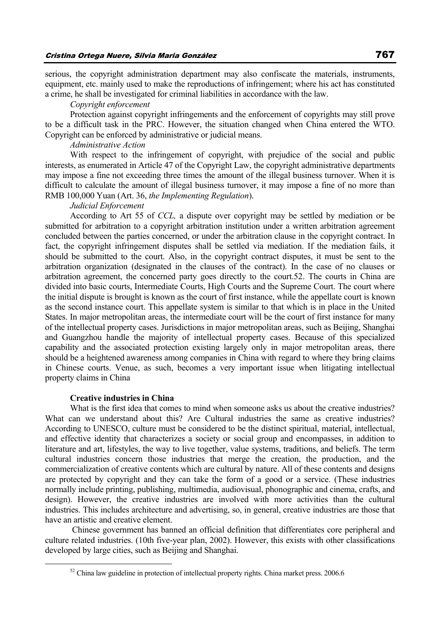serious, the copyright administration department may also confiscate the materials, instruments, equipment, etc. mainly used to make the reproductions of infringement; where his act has constituted a crime, he shall be investigated for criminal liabilities in accordance with the law.

### *Copyright enforcement*

Protection against copyright infringements and the enforcement of copyrights may still prove to be a difficult task in the PRC. However, the situation changed when China entered the WTO. Copyright can be enforced by administrative or judicial means.

#### *Administrative Action*

With respect to the infringement of copyright, with prejudice of the social and public interests, as enumerated in Article 47 of the Copyright Law, the copyright administrative departments may impose a fine not exceeding three times the amount of the illegal business turnover. When it is difficult to calculate the amount of illegal business turnover, it may impose a fine of no more than RMB 100,000 Yuan (Art. 36, *the Implementing Regulation*).

### *Judicial Enforcement*

According to Art 55 of *CCL,* a dispute over copyright may be settled by mediation or be submitted for arbitration to a copyright arbitration institution under a written arbitration agreement concluded between the parties concerned, or under the arbitration clause in the copyright contract. In fact, the copyright infringement disputes shall be settled via mediation. If the mediation fails, it should be submitted to the court. Also, in the copyright contract disputes, it must be sent to the arbitration organization (designated in the clauses of the contract). In the case of no clauses or arbitration agreement, the concerned party goes directly to the court.52. The courts in China are divided into basic courts, Intermediate Courts, High Courts and the Supreme Court. The court where the initial dispute is brought is known as the court of first instance, while the appellate court is known as the second instance court. This appellate system is similar to that which is in place in the United States. In major metropolitan areas, the intermediate court will be the court of first instance for many of the intellectual property cases. Jurisdictions in major metropolitan areas, such as Beijing, Shanghai and Guangzhou handle the majority of intellectual property cases. Because of this specialized capability and the associated protection existing largely only in major metropolitan areas, there should be a heightened awareness among companies in China with regard to where they bring claims in Chinese courts. Venue, as such, becomes a very important issue when litigating intellectual property claims in China

### **Creative industries in China**

What is the first idea that comes to mind when someone asks us about the creative industries? What can we understand about this? Are Cultural industries the same as creative industries? According to UNESCO, culture must be considered to be the distinct spiritual, material, intellectual, and effective identity that characterizes a society or social group and encompasses, in addition to literature and art, lifestyles, the way to live together, value systems, traditions, and beliefs. The term cultural industries concern those industries that merge the creation, the production, and the commercialization of creative contents which are cultural by nature. All of these contents and designs are protected by copyright and they can take the form of a good or a service. (These industries normally include printing, publishing, multimedia, audiovisual, phonographic and cinema, crafts, and design). However, the creative industries are involved with more activities than the cultural industries. This includes architecture and advertising, so, in general, creative industries are those that have an artistic and creative element.

 Chinese government has banned an official definition that differentiates core peripheral and culture related industries. (10th five-year plan, 2002). However, this exists with other classifications developed by large cities, such as Beijing and Shanghai.

 $52$  China law guideline in protection of intellectual property rights. China market press. 2006.6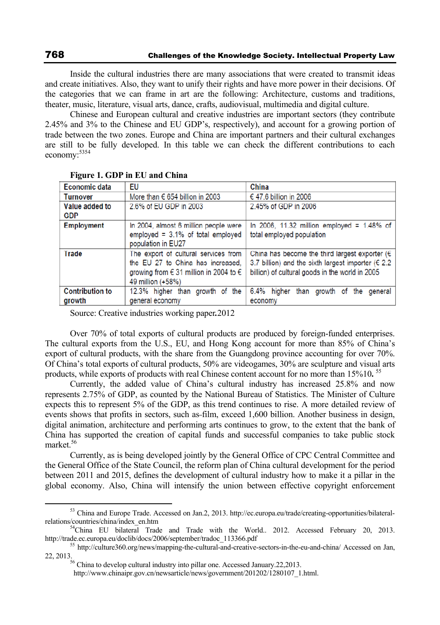Inside the cultural industries there are many associations that were created to transmit ideas and create initiatives. Also, they want to unify their rights and have more power in their decisions. Of the categories that we can frame in art are the following: Architecture, customs and traditions, theater, music, literature, visual arts, dance, crafts, audiovisual, multimedia and digital culture.

Chinese and European cultural and creative industries are important sectors (they contribute 2.45% and 3% to the Chinese and EU GDP's, respectively), and account for a growing portion of trade between the two zones. Europe and China are important partners and their cultural exchanges are still to be fully developed. In this table we can check the different contributions to each economy:5354

| <b>Economic data</b>             | EU                                                                                                                                         | China                                                                                                                                                                           |
|----------------------------------|--------------------------------------------------------------------------------------------------------------------------------------------|---------------------------------------------------------------------------------------------------------------------------------------------------------------------------------|
| Turnover                         | More than $\in$ 654 billion in 2003                                                                                                        | € 47.6 billion in 2006                                                                                                                                                          |
| Value added to<br><b>GDP</b>     | 2.6% of EU GDP in 2003                                                                                                                     | 2.45% of GDP in 2006                                                                                                                                                            |
| <b>Employment</b>                | In 2004, almost 6 million people were<br>employed = $3.1\%$ of total employed<br>population in EU27                                        | In 2006, 11.32 million employed = 1.48% of $ $<br>total employed population                                                                                                     |
| Trade                            | The export of cultural services from<br>the EU 27 to China has increased.<br>growing from € 31 million in 2004 to $∈$<br>49 million (+58%) | China has become the third largest exporter ( $\epsilon$  <br>3.7 billion) and the sixth largest importer ( $\epsilon$ 2.2  <br>billion) of cultural goods in the world in 2005 |
| <b>Contribution to</b><br>growth | 12.3% higher than growth of the<br>general economy                                                                                         | 6.4% higher than growth of the general<br>economy                                                                                                                               |

**Figure 1. GDP in EU and China** 

Source: Creative industries working paper*.*2012

Over 70% of total exports of cultural products are produced by foreign-funded enterprises. The cultural exports from the U.S., EU, and Hong Kong account for more than 85% of China's export of cultural products, with the share from the Guangdong province accounting for over 70%. Of China's total exports of cultural products, 50% are videogames, 30% are sculpture and visual arts products, while exports of products with real Chinese content account for no more than 15%10**.** <sup>55</sup>

Currently, the added value of China's cultural industry has increased 25.8% and now represents 2.75% of GDP, as counted by the National Bureau of Statistics. The Minister of Culture expects this to represent 5% of the GDP, as this trend continues to rise. A more detailed review of events shows that profits in sectors, such as film, exceed 1,600 billion. Another business in design, digital animation, architecture and performing arts continues to grow, to the extent that the bank of China has supported the creation of capital funds and successful companies to take public stock market.56

Currently, as is being developed jointly by the General Office of CPC Central Committee and the General Office of the State Council, the reform plan of China cultural development for the period between 2011 and 2015, defines the development of cultural industry how to make it a pillar in the global economy. Also, China will intensify the union between effective copyright enforcement

<sup>&</sup>lt;sup>53</sup> China and Europe Trade. Accessed on Jan.2, 2013. http://ec.europa.eu/trade/creating-opportunities/bilateral-relations/countries/china/index en.htm

<sup>&</sup>lt;sup>54</sup>China EU bilateral Trade and Trade with the World.. 2012. Accessed February 20, 2013.<br>http://trade.ec.europa.eu/doclib/docs/2006/september/tradoc 113366.pdf

<sup>&</sup>lt;sup>55</sup> http://culture360.org/news/mapping-the-cultural-and-creative-sectors-in-the-eu-and-china/ Accessed on Jan,<br>22. 2013.

<sup>&</sup>lt;sup>56</sup> China to develop cultural industry into pillar one. Accessed January.22,2013.

http://www.chinaipr.gov.cn/newsarticle/news/government/201202/1280107\_1.html.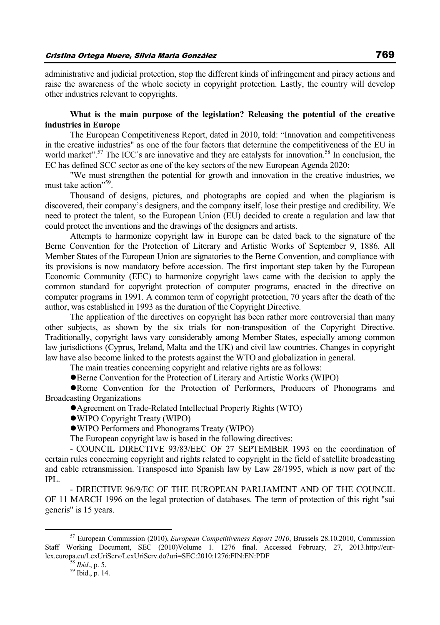administrative and judicial protection, stop the different kinds of infringement and piracy actions and raise the awareness of the whole society in copyright protection. Lastly, the country will develop other industries relevant to copyrights.

### **What is the main purpose of the legislation? Releasing the potential of the creative industries in Europe**

The European Competitiveness Report, dated in 2010, told: "Innovation and competitiveness in the creative industries" as one of the four factors that determine the competitiveness of the EU in world market".<sup>57</sup> The ICC's are innovative and they are catalysts for innovation.<sup>58</sup> In conclusion, the EC has defined SCC sector as one of the key sectors of the new European Agenda 2020:

"We must strengthen the potential for growth and innovation in the creative industries, we must take action"<sup>59</sup>.

Thousand of designs, pictures, and photographs are copied and when the plagiarism is discovered, their company's designers, and the company itself, lose their prestige and credibility. We need to protect the talent, so the European Union (EU) decided to create a regulation and law that could protect the inventions and the drawings of the designers and artists.

Attempts to harmonize copyright law in Europe can be dated back to the signature of the Berne Convention for the Protection of Literary and Artistic Works of September 9, 1886. All Member States of the European Union are signatories to the Berne Convention, and compliance with its provisions is now mandatory before accession. The first important step taken by the European Economic Community (EEC) to harmonize copyright laws came with the decision to apply the common standard for copyright protection of computer programs, enacted in the directive on computer programs in 1991. A common term of copyright protection, 70 years after the death of the author, was established in 1993 as the duration of the Copyright Directive.

The application of the directives on copyright has been rather more controversial than many other subjects, as shown by the six trials for non-transposition of the Copyright Directive. Traditionally, copyright laws vary considerably among Member States, especially among common law jurisdictions (Cyprus, Ireland, Malta and the UK) and civil law countries. Changes in copyright law have also become linked to the protests against the WTO and globalization in general.

The main treaties concerning copyright and relative rights are as follows:

● Berne Convention for the Protection of Literary and Artistic Works (WIPO)

• Rome Convention for the Protection of Performers, Producers of Phonograms and Broadcasting Organizations

● Agreement on Trade-Related Intellectual Property Rights (WTO)

• WIPO Copyright Treaty (WIPO)

zWIPO Performers and Phonograms Treaty (WIPO)

The European copyright law is based in the following directives:

- COUNCIL DIRECTIVE 93/83/EEC OF 27 SEPTEMBER 1993 on the coordination of certain rules concerning copyright and rights related to copyright in the field of satellite broadcasting and cable retransmission. Transposed into Spanish law by Law 28/1995, which is now part of the IPL.

- DIRECTIVE 96/9/EC OF THE EUROPEAN PARLIAMENT AND OF THE COUNCIL OF 11 MARCH 1996 on the legal protection of databases. The term of protection of this right "sui generis" is 15 years.

 <sup>57</sup> European Commission (2010), *European Competitiveness Report 2010*, Brussels 28.10.2010, Commission Staff Working Document, SEC (2010)Volume 1. 1276 final. Accessed February, 27, 2013.http://eurlex.europa.eu/LexUriServ/LexUriServ.do?uri=SEC:2010:1276:FIN:EN:PDF 58 *Ibid*., p. 5. 59 Ibid., p. 14.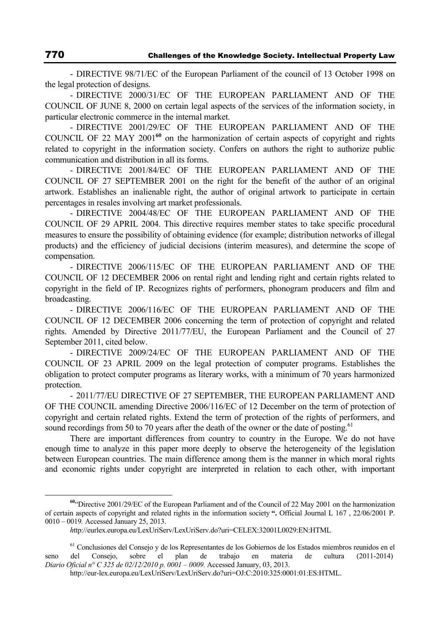- DIRECTIVE 98/71/EC of the European Parliament of the council of 13 October 1998 on the legal protection of designs.

- DIRECTIVE 2000/31/EC OF THE EUROPEAN PARLIAMENT AND OF THE COUNCIL OF JUNE 8, 2000 on certain legal aspects of the services of the information society, in particular electronic commerce in the internal market.

- DIRECTIVE 2001/29/EC OF THE EUROPEAN PARLIAMENT AND OF THE COUNCIL OF 22 MAY 2001**<sup>60</sup>** on the harmonization of certain aspects of copyright and rights related to copyright in the information society. Confers on authors the right to authorize public communication and distribution in all its forms.

- DIRECTIVE 2001/84/EC OF THE EUROPEAN PARLIAMENT AND OF THE COUNCIL OF 27 SEPTEMBER 2001 on the right for the benefit of the author of an original artwork. Establishes an inalienable right, the author of original artwork to participate in certain percentages in resales involving art market professionals.

- DIRECTIVE 2004/48/EC OF THE EUROPEAN PARLIAMENT AND OF THE COUNCIL OF 29 APRIL 2004. This directive requires member states to take specific procedural measures to ensure the possibility of obtaining evidence (for example; distribution networks of illegal products) and the efficiency of judicial decisions (interim measures), and determine the scope of compensation.

- DIRECTIVE 2006/115/EC OF THE EUROPEAN PARLIAMENT AND OF THE COUNCIL OF 12 DECEMBER 2006 on rental right and lending right and certain rights related to copyright in the field of IP. Recognizes rights of performers, phonogram producers and film and broadcasting.

- DIRECTIVE 2006/116/EC OF THE EUROPEAN PARLIAMENT AND OF THE COUNCIL OF 12 DECEMBER 2006 concerning the term of protection of copyright and related rights. Amended by Directive 2011/77/EU, the European Parliament and the Council of 27 September 2011, cited below.

- DIRECTIVE 2009/24/EC OF THE EUROPEAN PARLIAMENT AND OF THE COUNCIL OF 23 APRIL 2009 on the legal protection of computer programs. Establishes the obligation to protect computer programs as literary works, with a minimum of 70 years harmonized protection.

- 2011/77/EU DIRECTIVE OF 27 SEPTEMBER, THE EUROPEAN PARLIAMENT AND OF THE COUNCIL amending Directive 2006/116/EC of 12 December on the term of protection of copyright and certain related rights. Extend the term of protection of the rights of performers, and sound recordings from 50 to 70 years after the death of the owner or the date of posting.<sup>61</sup>

There are important differences from country to country in the Europe. We do not have enough time to analyze in this paper more deeply to observe the heterogeneity of the legislation between European countries. The main difference among them is the manner in which moral rights and economic rights under copyright are interpreted in relation to each other, with important

**<sup>60</sup>**"Directive 2001/29/EC of the European Parliament and of the Council of 22 May 2001 on the harmonization of certain aspects of copyright and related rights in the information society **".** Official Journal L 167 , 22/06/2001 P. 0010 – 0019*.* Accessed January 25, 2013.

*h*ttp://eurlex.europa.eu/LexUriServ/LexUriServ.do?uri=CELEX:32001L0029:EN:HTML

<sup>&</sup>lt;sup>61</sup> Conclusiones del Consejo y de los Representantes de los Gobiernos de los Estados miembros reunidos en el seno del Consejo, sobre el plan de trabajo en materia de cultura (2011-2014) *Diario Oficial n° C 325 de 02/12/2010 p. 0001 – 0009.* Accessed January, 03, 2013.

http://eur-lex.europa.eu/LexUriServ/LexUriServ.do?uri=OJ:C:2010:325:0001:01:ES:HTML.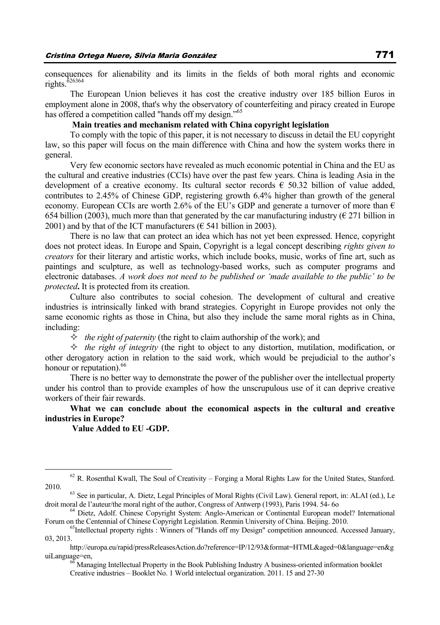consequences for alienability and its limits in the fields of both moral rights and economic rights.<sup>626364</sup>

The European Union believes it has cost the creative industry over 185 billion Euros in employment alone in 2008, that's why the observatory of counterfeiting and piracy created in Europe has offered a competition called "hands off my design."<sup>65</sup>

### **Main treaties and mechanism related with China copyright legislation**

To comply with the topic of this paper, it is not necessary to discuss in detail the EU copyright law, so this paper will focus on the main difference with China and how the system works there in general.

Very few economic sectors have revealed as much economic potential in China and the EU as the cultural and creative industries (CCIs) have over the past few years. China is leading Asia in the development of a creative economy. Its cultural sector records  $\epsilon$  50.32 billion of value added, contributes to 2.45% of Chinese GDP, registering growth 6.4% higher than growth of the general economy. European CCIs are worth 2.6% of the EU's GDP and generate a turnover of more than  $\epsilon$ 654 billion (2003), much more than that generated by the car manufacturing industry ( $\epsilon$  271 billion in 2001) and by that of the ICT manufacturers ( $\epsilon$  541 billion in 2003).

There is no law that can protect an idea which has not yet been expressed. Hence, copyright does not protect ideas. In Europe and Spain, Copyright is a legal concept describing *rights given to creators* for their literary and artistic works, which include books, music, works of fine art, such as paintings and sculpture, as well as technology-based works, such as computer programs and electronic databases. *A work does not need to be published or 'made available to the public' to be protected***.** It is protected from its creation.

Culture also contributes to social cohesion. The development of cultural and creative industries is intrinsically linked with brand strategies. Copyright in Europe provides not only the same economic rights as those in China, but also they include the same moral rights as in China, including:

 $\Diamond$  *the right of paternity* (the right to claim authorship of the work); and

 $\Diamond$  *the right of integrity* (the right to object to any distortion, mutilation, modification, or other derogatory action in relation to the said work, which would be prejudicial to the author's honour or reputation).<sup>66</sup>

There is no better way to demonstrate the power of the publisher over the intellectual property under his control than to provide examples of how the unscrupulous use of it can deprive creative workers of their fair rewards.

**What we can conclude about the economical aspects in the cultural and creative industries in Europe?** 

 **Value Added to EU -GDP.** 

uiLanguage=en,<br><sup>66</sup> Managing Intellectual Property in the Book Publishing Industry A business-oriented information booklet Creative industries – Booklet No. 1 World intelectual organization. 2011. 15 and 27-30

 $62$  R. Rosenthal Kwall, The Soul of Creativity – Forging a Moral Rights Law for the United States, Stanford. 2010. 63 See in particular, A. Dietz, Legal Principles of Moral Rights (Civil Law). General report, in: ALAI (ed.), Le

droit moral de l'auteur/the moral right of the author, Congress of Antwerp (1993), Paris 1994. 54- 60 <sup>64</sup> Dietz, Adolf. Chinese Copyright System: Anglo-American or Continental European model? International

Forum on the Centennial of Chinese Copyright Legislation. Renmin University of China. Beijing. 2010.<br><sup>65</sup>Intellectual property rights : Winners of "Hands off my Design" competition announced. Accessed January,

<sup>03, 2013.</sup>

http://europa.eu/rapid/pressReleasesAction.do?reference=IP/12/93&format=HTML&aged=0&language=en&g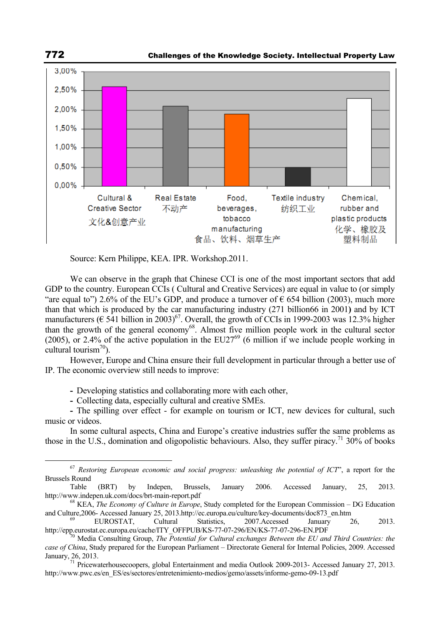

Source: Kern Philippe, KEA. IPR. Workshop.2011.

We can observe in the graph that Chinese CCI is one of the most important sectors that add GDP to the country. European CCIs ( Cultural and Creative Services) are equal in value to (or simply "are equal to") 2.6% of the EU's GDP, and produce a turnover of  $\epsilon$  654 billion (2003), much more than that which is produced by the car manufacturing industry (271 billion66 in 2001**)** and by ICT manufacturers ( $\epsilon$  541 billion in 2003)<sup>67</sup>. Overall, the growth of CCIs in 1999-2003 was 12.3% higher than the growth of the general economy<sup>68</sup>. Almost five million people work in the cultural sector (2005), or 2.4% of the active population in the EU27<sup>69</sup> (6 million if we include people working in cultural tourism $^{70}$ ).

However, Europe and China ensure their full development in particular through a better use of IP. The economic overview still needs to improve:

**-** Developing statistics and collaborating more with each other,

**-** Collecting data, especially cultural and creative SMEs.

**-** The spilling over effect - for example on tourism or ICT, new devices for cultural, such music or videos.

In some cultural aspects, China and Europe's creative industries suffer the same problems as those in the U.S., domination and oligopolistic behaviours. Also, they suffer piracy.<sup>71</sup> 30% of books

 <sup>67</sup> *Restoring European economic and social progress: unleashing the potential of ICT*", a report for the Brussels Round

Table (BRT) by Indepen, Brussels, January 2006. Accessed January, 25, 2013. http://www.indepen.uk.com/docs/brt-main-report.pdf 68 KEA, *The Economy of Culture in Europe*, Study completed for the European Commission – DG Education

and Culture,2006- Accessed January 25, 2013.http://ec.europa.eu/culture/key-documents/doc873\_en.htm<br>
EUROSTAT, Cultural Statistics, 2007.Accessed January 26, 2013.

http://epp.eurostat.ec.europa.eu/cache/ITY\_OFFPUB/KS-77-07-296/EN/KS-77-07-296-EN.PDF <sup>70</sup> Media Consulting Group, *The Potential for Cultural exchanges Between the EU and Third Countries: the* 

*case of China*, Study prepared for the European Parliament – Directorate General for Internal Policies, 2009. Accessed January, 26, 2013. 71 Pricewaterhousecoopers, global Entertainment and media Outlook 2009-2013- Accessed January 27, 2013.

http://www.pwc.es/en\_ES/es/sectores/entretenimiento-medios/gemo/assets/informe-gemo-09-13.pdf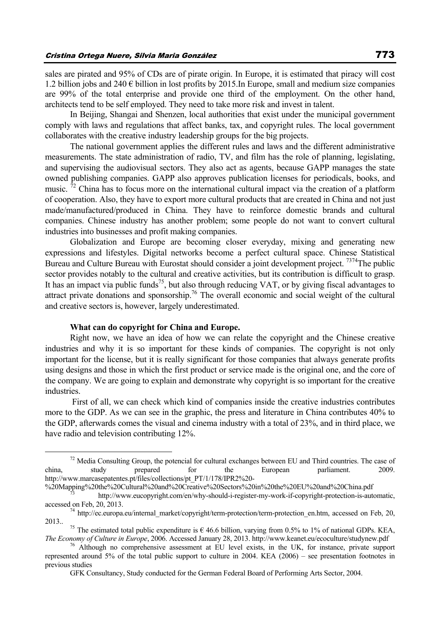sales are pirated and 95% of CDs are of pirate origin. In Europe, it is estimated that piracy will cost 1.2 billion jobs and 240  $\epsilon$  billion in lost profits by 2015. In Europe, small and medium size companies are 99% of the total enterprise and provide one third of the employment. On the other hand, architects tend to be self employed. They need to take more risk and invest in talent.

In Beijing, Shangai and Shenzen, local authorities that exist under the municipal government comply with laws and regulations that affect banks, tax, and copyright rules. The local government collaborates with the creative industry leadership groups for the big projects.

The national government applies the different rules and laws and the different administrative measurements. The state administration of radio, TV, and film has the role of planning, legislating, and supervising the audiovisual sectors. They also act as agents, because GAPP manages the state owned publishing companies. GAPP also approves publication licenses for periodicals, books, and music.  $\frac{72}{2}$  China has to focus more on the international cultural impact via the creation of a platform of cooperation. Also, they have to export more cultural products that are created in China and not just made/manufactured/produced in China. They have to reinforce domestic brands and cultural companies. Chinese industry has another problem; some people do not want to convert cultural industries into businesses and profit making companies.

Globalization and Europe are becoming closer everyday, mixing and generating new expressions and lifestyles. Digital networks become a perfect cultural space. Chinese Statistical Bureau and Culture Bureau with Eurostat should consider a joint development project. <sup>7374</sup>The public sector provides notably to the cultural and creative activities, but its contribution is difficult to grasp. It has an impact via public funds<sup>75</sup>, but also through reducing VAT, or by giving fiscal advantages to attract private donations and sponsorship.76 The overall economic and social weight of the cultural and creative sectors is, however, largely underestimated.

### **What can do copyright for China and Europe.**

Right now, we have an idea of how we can relate the copyright and the Chinese creative industries and why it is so important for these kinds of companies. The copyright is not only important for the license, but it is really significant for those companies that always generate profits using designs and those in which the first product or service made is the original one, and the core of the company. We are going to explain and demonstrate why copyright is so important for the creative industries.

 First of all, we can check which kind of companies inside the creative industries contributes more to the GDP. As we can see in the graphic, the press and literature in China contributes 40% to the GDP, afterwards comes the visual and cinema industry with a total of 23%, and in third place, we have radio and television contributing 12%.

 $72$  Media Consulting Group, the potencial for cultural exchanges between EU and Third countries. The case of china, study prepared for the European parliament. 2009. http://www.marcasepatentes.pt/files/collections/pt\_PT/1/178/IPR2%20-

<sup>%20</sup>Mapping%20the%20Cultural%20and%20Creative%20Sectors%20in%20the%20EU%20and%20China.pdf 73 http://www.eucopyright.com/en/why-should-i-register-my-work-if-copyright-protection-is-automatic,

accessed on Feb, 20, 2013.<br><sup>74</sup> http://ec.europa.eu/internal\_market/copyright/term-protection/term-protection\_en.htm, accessed on Feb, 20, 2013..

<sup>&</sup>lt;sup>2022</sup><sup>75</sup> The estimated total public expenditure is  $\epsilon$  46.6 billion, varying from 0.5% to 1% of national GDPs. KEA,<br>The Economy of Culture in Europe, 2006. Accessed January 28, 2013. http://www.keanet.eu/ecoculture/stu

<sup>&</sup>lt;sup>76</sup> Although no comprehensive assessment at EU level exists, in the UK, for instance, private support represented around 5% of the total public support to culture in 2004. KEA (2006) – see presentation footnotes in previous studies

GFK Consultancy, Study conducted for the German Federal Board of Performing Arts Sector, 2004.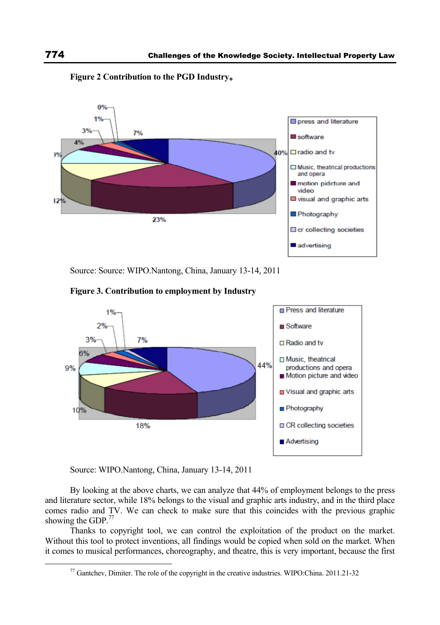

**Figure 2 Contribution to the PGD Industry**。

Source: Source: WIPO.Nantong, China, January 13-14, 2011



![](_page_15_Figure_5.jpeg)

Source: WIPO.Nantong, China, January 13-14, 2011

By looking at the above charts, we can analyze that 44% of employment belongs to the press and literature sector, while 18% belongs to the visual and graphic arts industry, and in the third place comes radio and TV. We can check to make sure that this coincides with the previous graphic showing the GDP.<sup>77</sup>

Thanks to copyright tool, we can control the exploitation of the product on the market. Without this tool to protect inventions, all findings would be copied when sold on the market. When it comes to musical performances, choreography, and theatre, this is very important, because the first

 <sup>77</sup> Gantchev, Dimiter. The role of the copyright in the creative industries. WIPO:China. 2011.21-32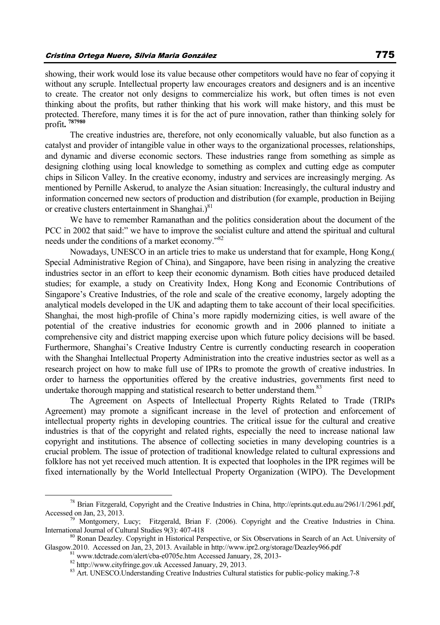showing, their work would lose its value because other competitors would have no fear of copying it without any scruple. Intellectual property law encourages creators and designers and is an incentive to create. The creator not only designs to commercialize his work, but often times is not even thinking about the profits, but rather thinking that his work will make history, and this must be protected. Therefore, many times it is for the act of pure innovation, rather than thinking solely for profit**. 787980**

The creative industries are, therefore, not only economically valuable, but also function as a catalyst and provider of intangible value in other ways to the organizational processes, relationships, and dynamic and diverse economic sectors. These industries range from something as simple as designing clothing using local knowledge to something as complex and cutting edge as computer chips in Silicon Valley. In the creative economy, industry and services are increasingly merging. As mentioned by Pernille Askerud, to analyze the Asian situation: Increasingly, the cultural industry and information concerned new sectors of production and distribution (for example, production in Beijing or creative clusters entertainment in Shanghai.) $81$ 

We have to remember Ramanathan and the politics consideration about the document of the PCC in 2002 that said:" we have to improve the socialist culture and attend the spiritual and cultural needs under the conditions of a market economy."<sup>82</sup>

Nowadays, UNESCO in an article tries to make us understand that for example, Hong Kong,( Special Administrative Region of China), and Singapore, have been rising in analyzing the creative industries sector in an effort to keep their economic dynamism. Both cities have produced detailed studies; for example, a study on Creativity Index, Hong Kong and Economic Contributions of Singapore's Creative Industries, of the role and scale of the creative economy, largely adopting the analytical models developed in the UK and adapting them to take account of their local specificities. Shanghai, the most high-profile of China's more rapidly modernizing cities, is well aware of the potential of the creative industries for economic growth and in 2006 planned to initiate a comprehensive city and district mapping exercise upon which future policy decisions will be based. Furthermore, Shanghai's Creative Industry Centre is currently conducting research in cooperation with the Shanghai Intellectual Property Administration into the creative industries sector as well as a research project on how to make full use of IPRs to promote the growth of creative industries. In order to harness the opportunities offered by the creative industries, governments first need to undertake thorough mapping and statistical research to better understand them.<sup>83</sup>

The Agreement on Aspects of Intellectual Property Rights Related to Trade (TRIPs Agreement) may promote a significant increase in the level of protection and enforcement of intellectual property rights in developing countries. The critical issue for the cultural and creative industries is that of the copyright and related rights, especially the need to increase national law copyright and institutions. The absence of collecting societies in many developing countries is a crucial problem. The issue of protection of traditional knowledge related to cultural expressions and folklore has not yet received much attention. It is expected that loopholes in the IPR regimes will be fixed internationally by the World Intellectual Property Organization (WIPO). The Development

<sup>&</sup>lt;sup>78</sup> Brian Fitzgerald, Copyright and the Creative Industries in China, http://eprints.qut.edu.au/2961/1/2961.pdf, Accessed on Jan, 23, 2013.

<sup>&</sup>lt;sup>79</sup> Montgomery, Lucy; Fitzgerald, Brian F. (2006). Copyright and the Creative Industries in China. International Journal of Cultural Studies 9(3): 407-418

<sup>&</sup>lt;sup>80</sup> Ronan Deazley. Copyright in Historical Perspective, or Six Observations in Search of an Act. University of Glasgow.2010. Accessed on Jan, 23, 2013. Available in http://www.ipr2.org/storage/Deazley966.pdf  $81$  www.tdctrade.com/alert/cba-e0705e.htm Accessed January, 28, 2013-<br> $82$  http://www.cityfringe.gov.uk Accessed January, 29

<sup>83</sup> Art. UNESCO.Understanding Creative Industries Cultural statistics for public-policy making 7-8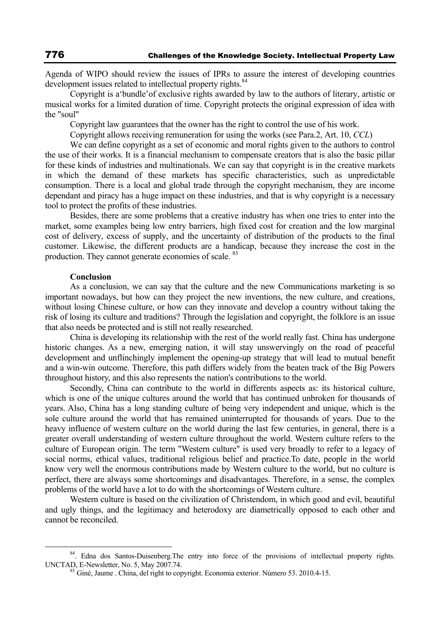Agenda of WIPO should review the issues of IPRs to assure the interest of developing countries development issues related to intellectual property rights.<sup>84</sup>

Copyright is a'bundle'of exclusive rights awarded by law to the authors of literary, artistic or musical works for a limited duration of time. Copyright protects the original expression of idea with the "soul"

Copyright law guarantees that the owner has the right to control the use of his work.

Copyright allows receiving remuneration for using the works (see Para.2, Art. 10, *CCL*)

We can define copyright as a set of economic and moral rights given to the authors to control the use of their works. It is a financial mechanism to compensate creators that is also the basic pillar for these kinds of industries and multinationals. We can say that copyright is in the creative markets in which the demand of these markets has specific characteristics, such as unpredictable consumption. There is a local and global trade through the copyright mechanism, they are income dependant and piracy has a huge impact on these industries, and that is why copyright is a necessary tool to protect the profits of these industries.

Besides, there are some problems that a creative industry has when one tries to enter into the market, some examples being low entry barriers, high fixed cost for creation and the low marginal cost of delivery, excess of supply, and the uncertainty of distribution of the products to the final customer. Likewise, the different products are a handicap, because they increase the cost in the production. They cannot generate economies of scale. 85

### **Conclusion**

As a conclusion, we can say that the culture and the new Communications marketing is so important nowadays, but how can they project the new inventions, the new culture, and creations, without losing Chinese culture, or how can they innovate and develop a country without taking the risk of losing its culture and traditions? Through the legislation and copyright, the folklore is an issue that also needs be protected and is still not really researched.

China is developing its relationship with the rest of the world really fast. China has undergone historic changes. As a new, emerging nation, it will stay unswervingly on the road of peaceful development and unflinchingly implement the opening-up strategy that will lead to mutual benefit and a win-win outcome. Therefore, this path differs widely from the beaten track of the Big Powers throughout history, and this also represents the nation's contributions to the world.

Secondly, China can contribute to the world in differents aspects as: its historical culture, which is one of the unique cultures around the world that has continued unbroken for thousands of years. Also, China has a long standing culture of being very independent and unique, which is the sole culture around the world that has remained uninterrupted for thousands of years. Due to the heavy influence of western culture on the world during the last few centuries, in general, there is a greater overall understanding of western culture throughout the world. Western culture refers to the culture of European origin. The term "Western culture" is used very broadly to refer to a legacy of social norms, ethical values, traditional religious belief and practice.To date, people in the world know very well the enormous contributions made by Western culture to the world, but no culture is perfect, there are always some shortcomings and disadvantages. Therefore, in a sense, the complex problems of the world have a lot to do with the shortcomings of Western culture.

Western culture is based on the civilization of Christendom, in which good and evil, beautiful and ugly things, and the legitimacy and heterodoxy are diametrically opposed to each other and cannot be reconciled.

<sup>&</sup>lt;sup>84</sup>. Edna dos Santos-Duisenberg. The entry into force of the provisions of intellectual property rights. UNCTAD, E-Newsletter, No. 5, May 2007.74.<br><sup>85</sup> Giné, Jaume . China, del right to copyright. Economia exterior. Número 53. 2010.4-15.